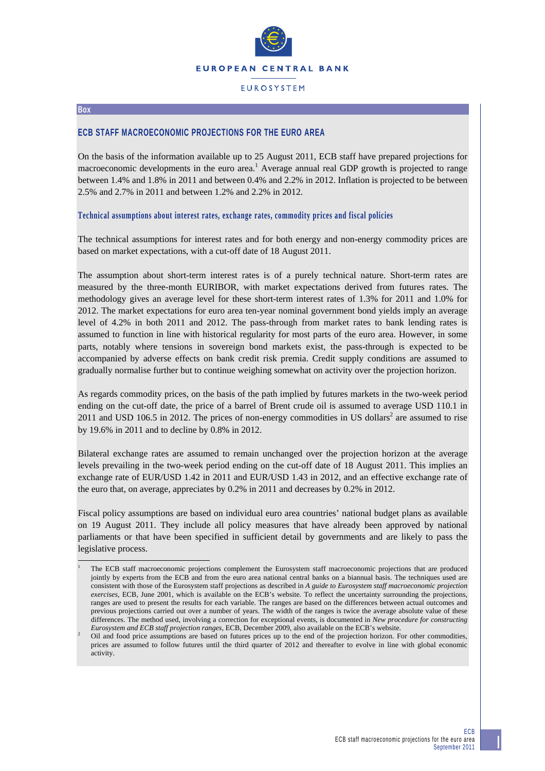

# **EUROSYSTEM**

#### **Box**

 $\overline{a}$ 

# **ECB STAFF MACROECONOMIC PROJECTIONS FOR THE EURO AREA**

On the basis of the information available up to 25 August 2011, ECB staff have prepared projections for macroeconomic developments in the euro area.<sup>1</sup> Average annual real GDP growth is projected to range between 1.4% and 1.8% in 2011 and between 0.4% and 2.2% in 2012. Inflation is projected to be between 2.5% and 2.7% in 2011 and between 1.2% and 2.2% in 2012.

### **Technical assumptions about interest rates, exchange rates, commodity prices and fiscal policies**

The technical assumptions for interest rates and for both energy and non-energy commodity prices are based on market expectations, with a cut-off date of 18 August 2011.

The assumption about short-term interest rates is of a purely technical nature. Short-term rates are measured by the three-month EURIBOR, with market expectations derived from futures rates. The methodology gives an average level for these short-term interest rates of 1.3% for 2011 and 1.0% for 2012. The market expectations for euro area ten-year nominal government bond yields imply an average level of 4.2% in both 2011 and 2012. The pass-through from market rates to bank lending rates is assumed to function in line with historical regularity for most parts of the euro area. However, in some parts, notably where tensions in sovereign bond markets exist, the pass-through is expected to be accompanied by adverse effects on bank credit risk premia. Credit supply conditions are assumed to gradually normalise further but to continue weighing somewhat on activity over the projection horizon.

As regards commodity prices, on the basis of the path implied by futures markets in the two-week period ending on the cut-off date, the price of a barrel of Brent crude oil is assumed to average USD 110.1 in 2011 and USD 106.5 in 2012. The prices of non-energy commodities in US dollars<sup>2</sup> are assumed to rise by 19.6% in 2011 and to decline by 0.8% in 2012.

Bilateral exchange rates are assumed to remain unchanged over the projection horizon at the average levels prevailing in the two-week period ending on the cut-off date of 18 August 2011. This implies an exchange rate of EUR/USD 1.42 in 2011 and EUR/USD 1.43 in 2012, and an effective exchange rate of the euro that, on average, appreciates by 0.2% in 2011 and decreases by 0.2% in 2012.

Fiscal policy assumptions are based on individual euro area countries' national budget plans as available on 19 August 2011. They include all policy measures that have already been approved by national parliaments or that have been specified in sufficient detail by governments and are likely to pass the legislative process.

<sup>1</sup> The ECB staff macroeconomic projections complement the Eurosystem staff macroeconomic projections that are produced jointly by experts from the ECB and from the euro area national central banks on a biannual basis. The techniques used are consistent with those of the Eurosystem staff projections as described in *A guide to Eurosystem staff macroeconomic projection exercises*, ECB, June 2001, which is available on the ECB's website. To reflect the uncertainty surrounding the projections, ranges are used to present the results for each variable. The ranges are based on the differences between actual outcomes and previous projections carried out over a number of years. The width of the ranges is twice the average absolute value of these differences. The method used, involving a correction for exceptional events, is documented in *New procedure for constructing Eurosystem and ECB staff projection ranges*, ECB, December 2009, also available on the ECB's website. 2

Oil and food price assumptions are based on futures prices up to the end of the projection horizon. For other commodities, prices are assumed to follow futures until the third quarter of 2012 and thereafter to evolve in line with global economic activity.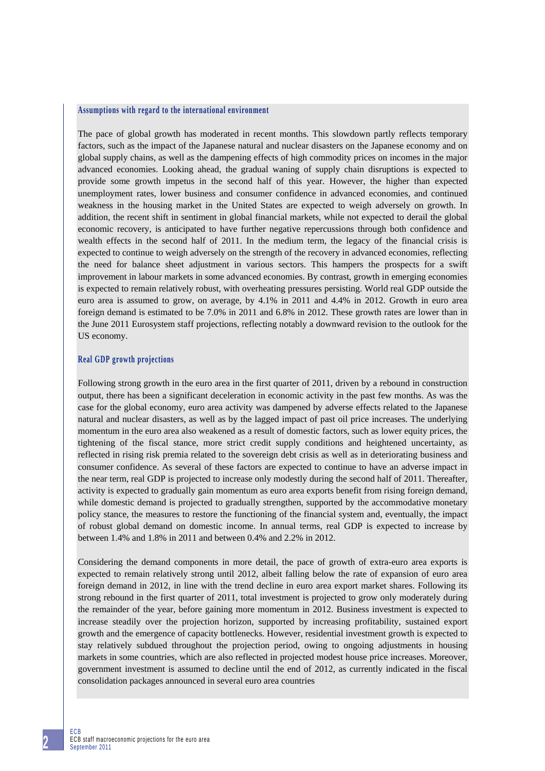### **Assumptions with regard to the international environment**

The pace of global growth has moderated in recent months. This slowdown partly reflects temporary factors, such as the impact of the Japanese natural and nuclear disasters on the Japanese economy and on global supply chains, as well as the dampening effects of high commodity prices on incomes in the major advanced economies. Looking ahead, the gradual waning of supply chain disruptions is expected to provide some growth impetus in the second half of this year. However, the higher than expected unemployment rates, lower business and consumer confidence in advanced economies, and continued weakness in the housing market in the United States are expected to weigh adversely on growth. In addition, the recent shift in sentiment in global financial markets, while not expected to derail the global economic recovery, is anticipated to have further negative repercussions through both confidence and wealth effects in the second half of 2011. In the medium term, the legacy of the financial crisis is expected to continue to weigh adversely on the strength of the recovery in advanced economies, reflecting the need for balance sheet adjustment in various sectors. This hampers the prospects for a swift improvement in labour markets in some advanced economies. By contrast, growth in emerging economies is expected to remain relatively robust, with overheating pressures persisting. World real GDP outside the euro area is assumed to grow, on average, by 4.1% in 2011 and 4.4% in 2012. Growth in euro area foreign demand is estimated to be 7.0% in 2011 and 6.8% in 2012. These growth rates are lower than in the June 2011 Eurosystem staff projections, reflecting notably a downward revision to the outlook for the US economy.

### **Real GDP growth projections**

Following strong growth in the euro area in the first quarter of 2011, driven by a rebound in construction output, there has been a significant deceleration in economic activity in the past few months. As was the case for the global economy, euro area activity was dampened by adverse effects related to the Japanese natural and nuclear disasters, as well as by the lagged impact of past oil price increases. The underlying momentum in the euro area also weakened as a result of domestic factors, such as lower equity prices, the tightening of the fiscal stance, more strict credit supply conditions and heightened uncertainty, as reflected in rising risk premia related to the sovereign debt crisis as well as in deteriorating business and consumer confidence. As several of these factors are expected to continue to have an adverse impact in the near term, real GDP is projected to increase only modestly during the second half of 2011. Thereafter, activity is expected to gradually gain momentum as euro area exports benefit from rising foreign demand, while domestic demand is projected to gradually strengthen, supported by the accommodative monetary policy stance, the measures to restore the functioning of the financial system and, eventually, the impact of robust global demand on domestic income. In annual terms, real GDP is expected to increase by between 1.4% and 1.8% in 2011 and between 0.4% and 2.2% in 2012.

Considering the demand components in more detail, the pace of growth of extra-euro area exports is expected to remain relatively strong until 2012, albeit falling below the rate of expansion of euro area foreign demand in 2012, in line with the trend decline in euro area export market shares. Following its strong rebound in the first quarter of 2011, total investment is projected to grow only moderately during the remainder of the year, before gaining more momentum in 2012. Business investment is expected to increase steadily over the projection horizon, supported by increasing profitability, sustained export growth and the emergence of capacity bottlenecks. However, residential investment growth is expected to stay relatively subdued throughout the projection period, owing to ongoing adjustments in housing markets in some countries, which are also reflected in projected modest house price increases. Moreover, government investment is assumed to decline until the end of 2012, as currently indicated in the fiscal consolidation packages announced in several euro area countries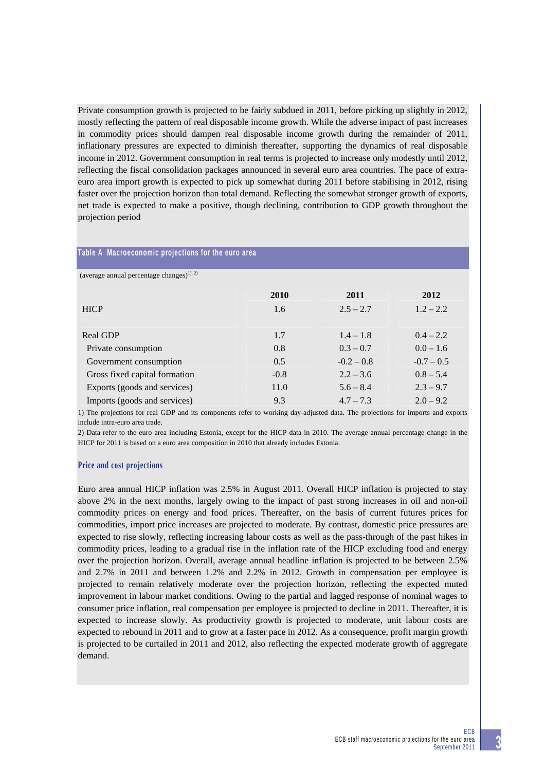Private consumption growth is projected to be fairly subdued in 2011, before picking up slightly in 2012, mostly reflecting the pattern of real disposable income growth. While the adverse impact of past increases in commodity prices should dampen real disposable income growth during the remainder of 2011, inflationary pressures are expected to diminish thereafter, supporting the dynamics of real disposable income in 2012. Government consumption in real terms is projected to increase only modestly until 2012, reflecting the fiscal consolidation packages announced in several euro area countries. The pace of extraeuro area import growth is expected to pick up somewhat during 2011 before stabilising in 2012, rising faster over the projection horizon than total demand. Reflecting the somewhat stronger growth of exports, net trade is expected to make a positive, though declining, contribution to GDP growth throughout the projection period

# **Table A Macroeconomic projections for the euro area**

(average annual percentage changes)<sup>1), 2)</sup>

|                               | 2010   | 2011         | 2012         |
|-------------------------------|--------|--------------|--------------|
| <b>HICP</b>                   | 1.6    | $2.5 - 2.7$  | $1.2 - 2.2$  |
|                               |        |              |              |
| Real GDP                      | 1.7    | $1.4 - 1.8$  | $0.4 - 2.2$  |
| Private consumption           | 0.8    | $0.3 - 0.7$  | $0.0 - 1.6$  |
| Government consumption        | 0.5    | $-0.2 - 0.8$ | $-0.7 - 0.5$ |
| Gross fixed capital formation | $-0.8$ | $2.2 - 3.6$  | $0.8 - 5.4$  |
| Exports (goods and services)  | 11.0   | $5.6 - 8.4$  | $2.3 - 9.7$  |
| Imports (goods and services)  | 9.3    | $4.7 - 7.3$  | $2.0 - 9.2$  |

1) The projections for real GDP and its components refer to working day-adjusted data. The projections for imports and exports include intra-euro area trade.

2) Data refer to the euro area including Estonia, except for the HICP data in 2010. The average annual percentage change in the HICP for 2011 is based on a euro area composition in 2010 that already includes Estonia.

# **Price and cost projections**

Euro area annual HICP inflation was 2.5% in August 2011. Overall HICP inflation is projected to stay above 2% in the next months, largely owing to the impact of past strong increases in oil and non-oil commodity prices on energy and food prices. Thereafter, on the basis of current futures prices for commodities, import price increases are projected to moderate. By contrast, domestic price pressures are expected to rise slowly, reflecting increasing labour costs as well as the pass-through of the past hikes in commodity prices, leading to a gradual rise in the inflation rate of the HICP excluding food and energy over the projection horizon. Overall, average annual headline inflation is projected to be between 2.5% and 2.7% in 2011 and between 1.2% and 2.2% in 2012. Growth in compensation per employee is projected to remain relatively moderate over the projection horizon, reflecting the expected muted improvement in labour market conditions. Owing to the partial and lagged response of nominal wages to consumer price inflation, real compensation per employee is projected to decline in 2011. Thereafter, it is expected to increase slowly. As productivity growth is projected to moderate, unit labour costs are expected to rebound in 2011 and to grow at a faster pace in 2012. As a consequence, profit margin growth is projected to be curtailed in 2011 and 2012, also reflecting the expected moderate growth of aggregate demand.

**3**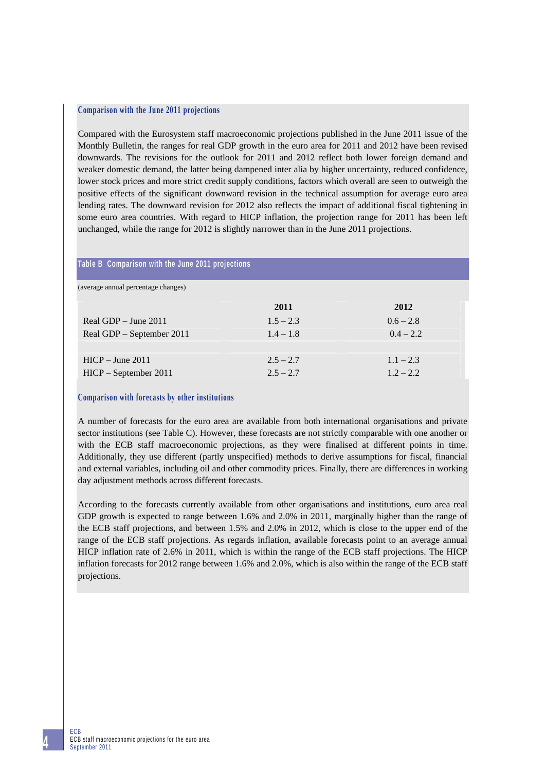### **Comparison with the June 2011 projections**

Compared with the Eurosystem staff macroeconomic projections published in the June 2011 issue of the Monthly Bulletin, the ranges for real GDP growth in the euro area for 2011 and 2012 have been revised downwards. The revisions for the outlook for 2011 and 2012 reflect both lower foreign demand and weaker domestic demand, the latter being dampened inter alia by higher uncertainty, reduced confidence, lower stock prices and more strict credit supply conditions, factors which overall are seen to outweigh the positive effects of the significant downward revision in the technical assumption for average euro area lending rates. The downward revision for 2012 also reflects the impact of additional fiscal tightening in some euro area countries. With regard to HICP inflation, the projection range for 2011 has been left unchanged, while the range for 2012 is slightly narrower than in the June 2011 projections.

### **Table B Comparison with the June 2011 projections**

(average annual percentage changes)

|                           | 2011        | 2012        |
|---------------------------|-------------|-------------|
| Real GDP $-$ June 2011    | $1.5 - 2.3$ | $0.6 - 2.8$ |
| Real GDP – September 2011 | $1.4 - 1.8$ | $0.4 - 2.2$ |
| $HICP - June 2011$        | $2.5 - 2.7$ | $1.1 - 2.3$ |
| $HICP - September 2011$   | $2.5 - 2.7$ | $1.2 - 2.2$ |

### **Comparison with forecasts by other institutions**

A number of forecasts for the euro area are available from both international organisations and private sector institutions (see Table C). However, these forecasts are not strictly comparable with one another or with the ECB staff macroeconomic projections, as they were finalised at different points in time. Additionally, they use different (partly unspecified) methods to derive assumptions for fiscal, financial and external variables, including oil and other commodity prices. Finally, there are differences in working day adjustment methods across different forecasts.

According to the forecasts currently available from other organisations and institutions, euro area real GDP growth is expected to range between 1.6% and 2.0% in 2011, marginally higher than the range of the ECB staff projections, and between 1.5% and 2.0% in 2012, which is close to the upper end of the range of the ECB staff projections. As regards inflation, available forecasts point to an average annual HICP inflation rate of 2.6% in 2011, which is within the range of the ECB staff projections. The HICP inflation forecasts for 2012 range between 1.6% and 2.0%, which is also within the range of the ECB staff projections.